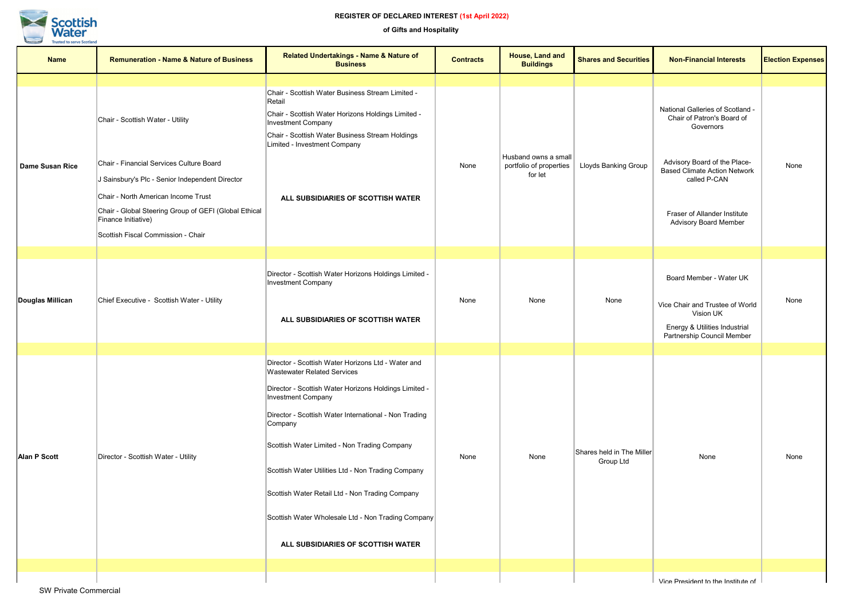| <b>Name</b>            | <b>Remuneration - Name &amp; Nature of Business</b>                                                                                                                                                                                                                                          | <b>Related Undertakings - Name &amp; Nature of</b><br><b>Business</b>                                                                                                                                                                                                                                                                                                                                                                                                                                   | <b>Contracts</b> | House, Land and<br><b>Buildings</b>                        | <b>Shares and Securities</b>           | <b>Non-Financial Interests</b>                                                                                                                                                                                                     | <b>Election Expenses</b> |
|------------------------|----------------------------------------------------------------------------------------------------------------------------------------------------------------------------------------------------------------------------------------------------------------------------------------------|---------------------------------------------------------------------------------------------------------------------------------------------------------------------------------------------------------------------------------------------------------------------------------------------------------------------------------------------------------------------------------------------------------------------------------------------------------------------------------------------------------|------------------|------------------------------------------------------------|----------------------------------------|------------------------------------------------------------------------------------------------------------------------------------------------------------------------------------------------------------------------------------|--------------------------|
| <b>Dame Susan Rice</b> | Chair - Scottish Water - Utility<br>Chair - Financial Services Culture Board<br>J Sainsbury's Plc - Senior Independent Director<br>Chair - North American Income Trust<br>Chair - Global Steering Group of GEFI (Global Ethical<br>Finance Initiative)<br>Scottish Fiscal Commission - Chair | Chair - Scottish Water Business Stream Limited -<br>Retail<br>Chair - Scottish Water Horizons Holdings Limited -<br><b>Investment Company</b><br>Chair - Scottish Water Business Stream Holdings<br>Limited - Investment Company<br>ALL SUBSIDIARIES OF SCOTTISH WATER                                                                                                                                                                                                                                  | None             | Husband owns a small<br>portfolio of properties<br>for let | <b>Lloyds Banking Group</b>            | National Galleries of Scotland -<br>Chair of Patron's Board of<br>Governors<br>Advisory Board of the Place-<br><b>Based Climate Action Network</b><br>called P-CAN<br>Fraser of Allander Institute<br><b>Advisory Board Member</b> | None                     |
|                        |                                                                                                                                                                                                                                                                                              |                                                                                                                                                                                                                                                                                                                                                                                                                                                                                                         |                  |                                                            |                                        |                                                                                                                                                                                                                                    |                          |
| Douglas Millican       | Chief Executive - Scottish Water - Utility                                                                                                                                                                                                                                                   | Director - Scottish Water Horizons Holdings Limited -<br><b>Investment Company</b><br>ALL SUBSIDIARIES OF SCOTTISH WATER                                                                                                                                                                                                                                                                                                                                                                                | None             | None                                                       | None                                   | Board Member - Water UK<br>Vice Chair and Trustee of World<br>Vision UK<br>Energy & Utilities Industrial<br>Partnership Council Member                                                                                             | None                     |
|                        |                                                                                                                                                                                                                                                                                              |                                                                                                                                                                                                                                                                                                                                                                                                                                                                                                         |                  |                                                            |                                        |                                                                                                                                                                                                                                    |                          |
| <b>Alan P Scott</b>    | Director - Scottish Water - Utility                                                                                                                                                                                                                                                          | Director - Scottish Water Horizons Ltd - Water and<br><b>Wastewater Related Services</b><br>Director - Scottish Water Horizons Holdings Limited -<br><b>Investment Company</b><br>Director - Scottish Water International - Non Trading<br>Company<br>Scottish Water Limited - Non Trading Company<br>Scottish Water Utilities Ltd - Non Trading Company<br>Scottish Water Retail Ltd - Non Trading Company<br>Scottish Water Wholesale Ltd - Non Trading Company<br>ALL SUBSIDIARIES OF SCOTTISH WATER | None             | None                                                       | Shares held in The Miller<br>Group Ltd | None                                                                                                                                                                                                                               | None                     |
|                        |                                                                                                                                                                                                                                                                                              |                                                                                                                                                                                                                                                                                                                                                                                                                                                                                                         |                  |                                                            |                                        |                                                                                                                                                                                                                                    |                          |
|                        |                                                                                                                                                                                                                                                                                              |                                                                                                                                                                                                                                                                                                                                                                                                                                                                                                         |                  |                                                            |                                        | Vice President to the Institute of                                                                                                                                                                                                 |                          |

SW Private Commercial



## **REGISTER OF DECLARED INTEREST (1st April 2022)**

**of Gifts and Hospitality**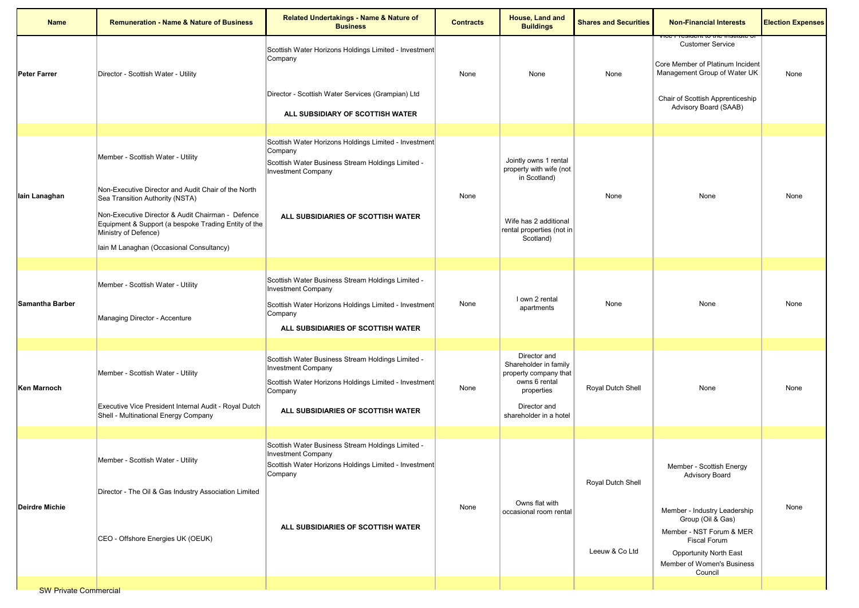| <b>Name</b>                  | <b>Remuneration - Name &amp; Nature of Business</b>                                                                                | <b>Related Undertakings - Name &amp; Nature of</b><br><b>Business</b>                                                                                                                    | <b>Contracts</b> | House, Land and<br><b>Buildings</b>                                                                                                     | <b>Shares and Securities</b> | <b>Non-Financial Interests</b>                                                                                                                                                 | <b>Election Expenses</b> |
|------------------------------|------------------------------------------------------------------------------------------------------------------------------------|------------------------------------------------------------------------------------------------------------------------------------------------------------------------------------------|------------------|-----------------------------------------------------------------------------------------------------------------------------------------|------------------------------|--------------------------------------------------------------------------------------------------------------------------------------------------------------------------------|--------------------------|
| <b>Peter Farrer</b>          | Director - Scottish Water - Utility                                                                                                | Scottish Water Horizons Holdings Limited - Investment<br>Company<br>Director - Scottish Water Services (Grampian) Ltd<br>ALL SUBSIDIARY OF SCOTTISH WATER                                | None             | None                                                                                                                                    | None                         | <b>Customer Service</b><br>Core Member of Platinum Incident<br>Management Group of Water UK<br>Chair of Scottish Apprenticeship<br>Advisory Board (SAAB)                       | None                     |
|                              |                                                                                                                                    |                                                                                                                                                                                          |                  |                                                                                                                                         |                              |                                                                                                                                                                                |                          |
| lain Lanaghan                | Member - Scottish Water - Utility                                                                                                  | Scottish Water Horizons Holdings Limited - Investment<br>Company<br>Scottish Water Business Stream Holdings Limited -<br><b>Investment Company</b>                                       | None             | Jointly owns 1 rental<br>property with wife (not<br>in Scotland)<br>Wife has 2 additional<br>rental properties (not in<br>Scotland)     | None                         | None                                                                                                                                                                           | None                     |
|                              | Non-Executive Director and Audit Chair of the North<br>Sea Transition Authority (NSTA)                                             | ALL SUBSIDIARIES OF SCOTTISH WATER                                                                                                                                                       |                  |                                                                                                                                         |                              |                                                                                                                                                                                |                          |
|                              | Non-Executive Director & Audit Chairman - Defence<br>Equipment & Support (a bespoke Trading Entity of the<br>Ministry of Defence)  |                                                                                                                                                                                          |                  |                                                                                                                                         |                              |                                                                                                                                                                                |                          |
|                              | Iain M Lanaghan (Occasional Consultancy)                                                                                           |                                                                                                                                                                                          |                  |                                                                                                                                         |                              |                                                                                                                                                                                |                          |
| <b>Samantha Barber</b>       | Member - Scottish Water - Utility<br>Managing Director - Accenture                                                                 | Scottish Water Business Stream Holdings Limited -<br><b>Investment Company</b><br>Scottish Water Horizons Holdings Limited - Investment<br>Company<br>ALL SUBSIDIARIES OF SCOTTISH WATER | None             | I own 2 rental<br>apartments                                                                                                            | None                         | None                                                                                                                                                                           | None                     |
| Ken Marnoch                  | Member - Scottish Water - Utility<br>Executive Vice President Internal Audit - Royal Dutch<br>Shell - Multinational Energy Company | Scottish Water Business Stream Holdings Limited -<br><b>Investment Company</b><br>Scottish Water Horizons Holdings Limited - Investment<br>Company<br>ALL SUBSIDIARIES OF SCOTTISH WATER | None             | Director and<br>Shareholder in family<br>property company that<br>owns 6 rental<br>properties<br>Director and<br>shareholder in a hotel | Royal Dutch Shell            | None                                                                                                                                                                           | None                     |
|                              |                                                                                                                                    |                                                                                                                                                                                          |                  |                                                                                                                                         |                              |                                                                                                                                                                                |                          |
| <b>Deirdre Michie</b>        | Member - Scottish Water - Utility<br>Director - The Oil & Gas Industry Association Limited                                         | Scottish Water Business Stream Holdings Limited -<br><b>Investment Company</b><br>Scottish Water Horizons Holdings Limited - Investment<br>Company                                       | None             | Owns flat with<br>occasional room rental                                                                                                | Royal Dutch Shell            | Member - Scottish Energy<br><b>Advisory Board</b>                                                                                                                              | None                     |
|                              | CEO - Offshore Energies UK (OEUK)                                                                                                  | ALL SUBSIDIARIES OF SCOTTISH WATER                                                                                                                                                       |                  |                                                                                                                                         | Leeuw & Co Ltd               | Member - Industry Leadership<br>Group (Oil & Gas)<br>Member - NST Forum & MER<br><b>Fiscal Forum</b><br><b>Opportunity North East</b><br>Member of Women's Business<br>Council |                          |
| <b>SW Private Commercial</b> |                                                                                                                                    |                                                                                                                                                                                          |                  |                                                                                                                                         |                              |                                                                                                                                                                                |                          |